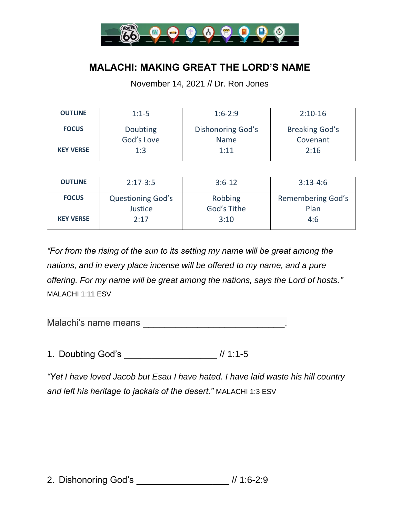

## **MALACHI: MAKING GREAT THE LORD'S NAME**

November 14, 2021 // Dr. Ron Jones

| <b>OUTLINE</b>   | $1:1-5$                | $1:6-2:9$                        | $2:10-16$                         |
|------------------|------------------------|----------------------------------|-----------------------------------|
| <b>FOCUS</b>     | Doubting<br>God's Love | Dishonoring God's<br><b>Name</b> | <b>Breaking God's</b><br>Covenant |
| <b>KEY VERSE</b> | 1:3                    | 1:11                             | 2:16                              |

| <b>OUTLINE</b>   | $2:17-3:5$                          | $3:6-12$               | $3:13-4:6$                |
|------------------|-------------------------------------|------------------------|---------------------------|
| <b>FOCUS</b>     | <b>Questioning God's</b><br>Justice | Robbing<br>God's Tithe | Remembering God's<br>Plan |
| <b>KEY VERSE</b> | 2:17                                | 3:10                   | 4:6                       |

*"For from the rising of the sun to its setting my name will be great among the nations, and in every place incense will be offered to my name, and a pure offering. For my name will be great among the nations, says the Lord of hosts."* MALACHI 1:11 ESV

Malachi's name means \_\_\_\_\_\_\_\_\_\_\_\_\_\_\_\_\_\_\_\_\_\_\_\_\_\_\_\_\_\_\_\_\_.

1. Doubting God's \_\_\_\_\_\_\_\_\_\_\_\_\_\_\_\_\_ // 1:1-5

*"Yet I have loved Jacob but Esau I have hated. I have laid waste his hill country and left his heritage to jackals of the desert."* MALACHI 1:3 ESV